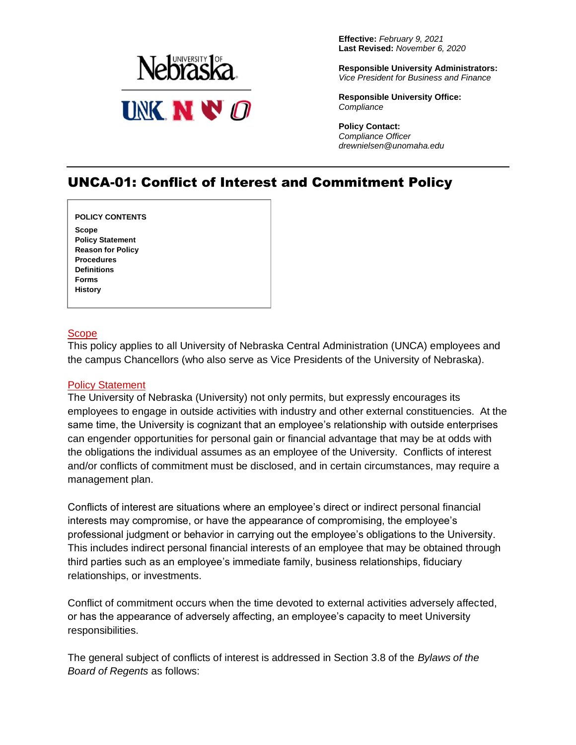

**Effective:** *February 9, 2021* **Last Revised:** *November 6, 2020*

**Responsible University Administrators:** *Vice President for Business and Finance*

**Responsible University Office:** *Compliance*

**Policy Contact:** *Compliance Officer drewnielsen@unomaha.edu*

# UNCA-01: Conflict of Interest and Commitment Policy

**[POLICY CONTENTS](#page-0-0)**

**[Scope](#page-0-0) [Policy Statement](#page-0-1) [Reason for Policy](#page-1-0) [Procedures](#page-1-1) [Definitions](#page-4-0) [Forms](#page-5-0) [History](#page-5-1)**

#### <span id="page-0-0"></span>Scope

This policy applies to all University of Nebraska Central Administration (UNCA) employees and the campus Chancellors (who also serve as Vice Presidents of the University of Nebraska).

## <span id="page-0-1"></span>Policy Statement

The University of Nebraska (University) not only permits, but expressly encourages its employees to engage in outside activities with industry and other external constituencies. At the same time, the University is cognizant that an employee's relationship with outside enterprises can engender opportunities for personal gain or financial advantage that may be at odds with the obligations the individual assumes as an employee of the University. Conflicts of interest and/or conflicts of commitment must be disclosed, and in certain circumstances, may require a management plan.

Conflicts of interest are situations where an employee's direct or indirect personal financial interests may compromise, or have the appearance of compromising, the employee's professional judgment or behavior in carrying out the employee's obligations to the University. This includes indirect personal financial interests of an employee that may be obtained through third parties such as an employee's immediate family, business relationships, fiduciary relationships, or investments.

Conflict of commitment occurs when the time devoted to external activities adversely affected, or has the appearance of adversely affecting, an employee's capacity to meet University responsibilities.

The general subject of conflicts of interest is addressed in Section 3.8 of the *Bylaws of the Board of Regents* as follows: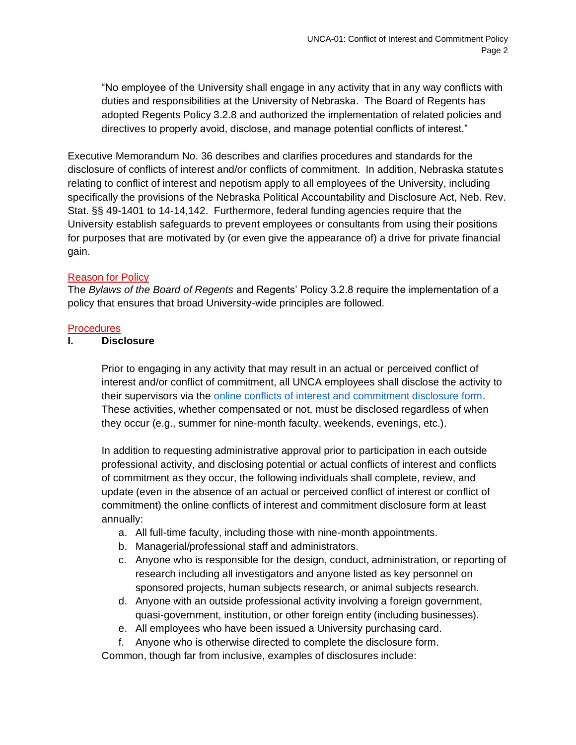"No employee of the University shall engage in any activity that in any way conflicts with duties and responsibilities at the University of Nebraska. The Board of Regents has adopted Regents Policy 3.2.8 and authorized the implementation of related policies and directives to properly avoid, disclose, and manage potential conflicts of interest."

Executive Memorandum No. 36 describes and clarifies procedures and standards for the disclosure of conflicts of interest and/or conflicts of commitment. In addition, Nebraska statutes relating to conflict of interest and nepotism apply to all employees of the University, including specifically the provisions of the Nebraska Political Accountability and Disclosure Act, Neb. Rev. Stat. §§ 49-1401 to 14-14,142. Furthermore, federal funding agencies require that the University establish safeguards to prevent employees or consultants from using their positions for purposes that are motivated by (or even give the appearance of) a drive for private financial gain.

## <span id="page-1-0"></span>Reason for Policy

The *Bylaws of the Board of Regents* and Regents' Policy 3.2.8 require the implementation of a policy that ensures that broad University-wide principles are followed.

#### <span id="page-1-1"></span>**Procedures**

#### **I. Disclosure**

Prior to engaging in any activity that may result in an actual or perceived conflict of interest and/or conflict of commitment, all UNCA employees shall disclose the activity to their supervisors via the [online conflicts of interest and commitment disclosure form.](https://nuramp.nebraska.edu/login) These activities, whether compensated or not, must be disclosed regardless of when they occur (e.g., summer for nine-month faculty, weekends, evenings, etc.).

In addition to requesting administrative approval prior to participation in each outside professional activity, and disclosing potential or actual conflicts of interest and conflicts of commitment as they occur, the following individuals shall complete, review, and update (even in the absence of an actual or perceived conflict of interest or conflict of commitment) the online conflicts of interest and commitment disclosure form at least annually:

- a. All full-time faculty, including those with nine-month appointments.
- b. Managerial/professional staff and administrators.
- c. Anyone who is responsible for the design, conduct, administration, or reporting of research including all investigators and anyone listed as key personnel on sponsored projects, human subjects research, or animal subjects research.
- d. Anyone with an outside professional activity involving a foreign government, quasi-government, institution, or other foreign entity (including businesses).
- e. All employees who have been issued a University purchasing card.
- f. Anyone who is otherwise directed to complete the disclosure form.

Common, though far from inclusive, examples of disclosures include: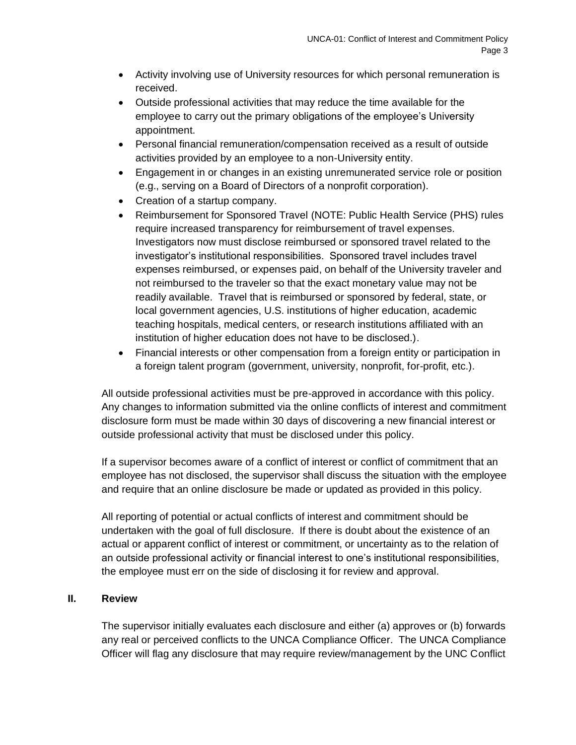- Activity involving use of University resources for which personal remuneration is received.
- Outside professional activities that may reduce the time available for the employee to carry out the primary obligations of the employee's University appointment.
- Personal financial remuneration/compensation received as a result of outside activities provided by an employee to a non-University entity.
- Engagement in or changes in an existing unremunerated service role or position (e.g., serving on a Board of Directors of a nonprofit corporation).
- Creation of a startup company.
- Reimbursement for Sponsored Travel (NOTE: Public Health Service (PHS) rules require increased transparency for reimbursement of travel expenses. Investigators now must disclose reimbursed or sponsored travel related to the investigator's institutional responsibilities. Sponsored travel includes travel expenses reimbursed, or expenses paid, on behalf of the University traveler and not reimbursed to the traveler so that the exact monetary value may not be readily available. Travel that is reimbursed or sponsored by federal, state, or local government agencies, U.S. institutions of higher education, academic teaching hospitals, medical centers, or research institutions affiliated with an institution of higher education does not have to be disclosed.).
- Financial interests or other compensation from a foreign entity or participation in a foreign talent program (government, university, nonprofit, for-profit, etc.).

All outside professional activities must be pre-approved in accordance with this policy. Any changes to information submitted via the online conflicts of interest and commitment disclosure form must be made within 30 days of discovering a new financial interest or outside professional activity that must be disclosed under this policy.

If a supervisor becomes aware of a conflict of interest or conflict of commitment that an employee has not disclosed, the supervisor shall discuss the situation with the employee and require that an online disclosure be made or updated as provided in this policy.

All reporting of potential or actual conflicts of interest and commitment should be undertaken with the goal of full disclosure. If there is doubt about the existence of an actual or apparent conflict of interest or commitment, or uncertainty as to the relation of an outside professional activity or financial interest to one's institutional responsibilities, the employee must err on the side of disclosing it for review and approval.

## **II. Review**

The supervisor initially evaluates each disclosure and either (a) approves or (b) forwards any real or perceived conflicts to the UNCA Compliance Officer. The UNCA Compliance Officer will flag any disclosure that may require review/management by the UNC Conflict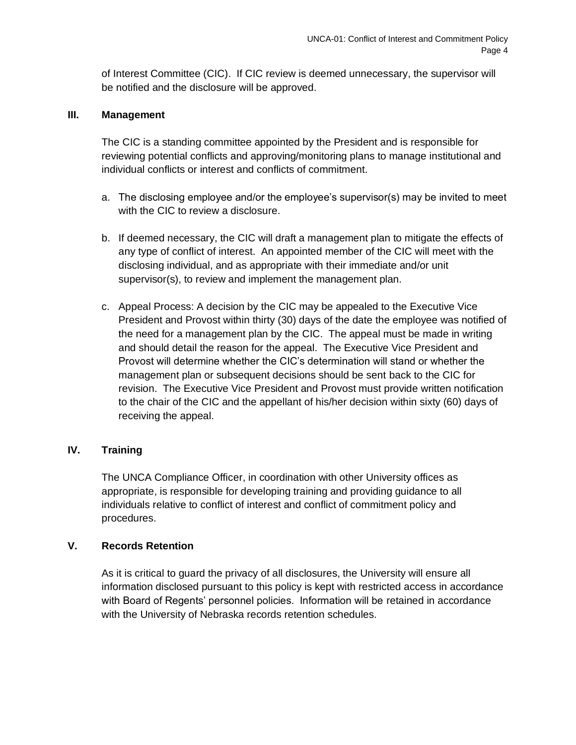of Interest Committee (CIC). If CIC review is deemed unnecessary, the supervisor will be notified and the disclosure will be approved.

## **III. Management**

The CIC is a standing committee appointed by the President and is responsible for reviewing potential conflicts and approving/monitoring plans to manage institutional and individual conflicts or interest and conflicts of commitment.

- a. The disclosing employee and/or the employee's supervisor(s) may be invited to meet with the CIC to review a disclosure.
- b. If deemed necessary, the CIC will draft a management plan to mitigate the effects of any type of conflict of interest. An appointed member of the CIC will meet with the disclosing individual, and as appropriate with their immediate and/or unit supervisor(s), to review and implement the management plan.
- c. Appeal Process: A decision by the CIC may be appealed to the Executive Vice President and Provost within thirty (30) days of the date the employee was notified of the need for a management plan by the CIC. The appeal must be made in writing and should detail the reason for the appeal. The Executive Vice President and Provost will determine whether the CIC's determination will stand or whether the management plan or subsequent decisions should be sent back to the CIC for revision. The Executive Vice President and Provost must provide written notification to the chair of the CIC and the appellant of his/her decision within sixty (60) days of receiving the appeal.

## **IV. Training**

The UNCA Compliance Officer, in coordination with other University offices as appropriate, is responsible for developing training and providing guidance to all individuals relative to conflict of interest and conflict of commitment policy and procedures.

## **V. Records Retention**

As it is critical to guard the privacy of all disclosures, the University will ensure all information disclosed pursuant to this policy is kept with restricted access in accordance with Board of Regents' personnel policies. Information will be retained in accordance with the University of Nebraska records retention schedules.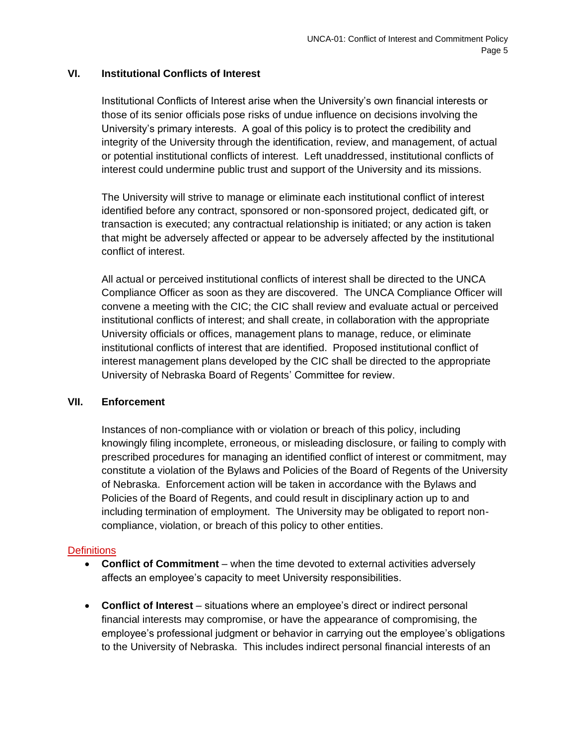## **VI. Institutional Conflicts of Interest**

Institutional Conflicts of Interest arise when the University's own financial interests or those of its senior officials pose risks of undue influence on decisions involving the University's primary interests. A goal of this policy is to protect the credibility and integrity of the University through the identification, review, and management, of actual or potential institutional conflicts of interest. Left unaddressed, institutional conflicts of interest could undermine public trust and support of the University and its missions.

The University will strive to manage or eliminate each institutional conflict of interest identified before any contract, sponsored or non-sponsored project, dedicated gift, or transaction is executed; any contractual relationship is initiated; or any action is taken that might be adversely affected or appear to be adversely affected by the institutional conflict of interest.

All actual or perceived institutional conflicts of interest shall be directed to the UNCA Compliance Officer as soon as they are discovered. The UNCA Compliance Officer will convene a meeting with the CIC; the CIC shall review and evaluate actual or perceived institutional conflicts of interest; and shall create, in collaboration with the appropriate University officials or offices, management plans to manage, reduce, or eliminate institutional conflicts of interest that are identified. Proposed institutional conflict of interest management plans developed by the CIC shall be directed to the appropriate University of Nebraska Board of Regents' Committee for review.

## **VII. Enforcement**

Instances of non-compliance with or violation or breach of this policy, including knowingly filing incomplete, erroneous, or misleading disclosure, or failing to comply with prescribed procedures for managing an identified conflict of interest or commitment, may constitute a violation of the Bylaws and Policies of the Board of Regents of the University of Nebraska. Enforcement action will be taken in accordance with the Bylaws and Policies of the Board of Regents, and could result in disciplinary action up to and including termination of employment. The University may be obligated to report noncompliance, violation, or breach of this policy to other entities.

## <span id="page-4-0"></span>**Definitions**

- **Conflict of Commitment** when the time devoted to external activities adversely affects an employee's capacity to meet University responsibilities.
- **Conflict of Interest** situations where an employee's direct or indirect personal financial interests may compromise, or have the appearance of compromising, the employee's professional judgment or behavior in carrying out the employee's obligations to the University of Nebraska. This includes indirect personal financial interests of an